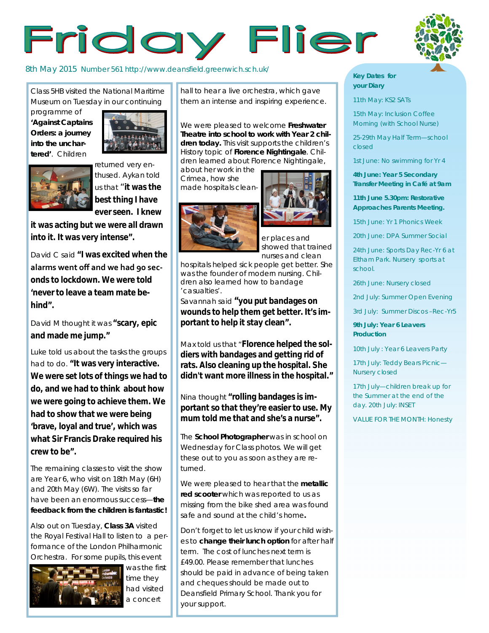# Friday Flier

### 8th May 2015 Number 561 http://www.deansfield.greenwich.sch.uk/

Class 5HB visited the National Maritime Museum on Tuesday in our continuing

programme of **'Against Captains Orders: a journey into the unchartered'**. Children





returned very enthused. Aykan told us that "**it was the best thing I have ever seen. I knew** 

**it was acting but we were all drawn into it. It was very intense".**

David C said **"I was excited when the alarms went off and we had 90 seconds to lockdown. We were told 'never to leave a team mate behind".**

David M thought it was **"scary, epic and made me jump."**

Luke told us about the tasks the groups had to do. **"It was very interactive. We were set lots of things we had to do, and we had to think about how we were going to achieve them. We had to show that we were being 'brave, loyal and true', which was what Sir Francis Drake required his crew to be".**

The remaining classes to visit the show are Year 6, who visit on 18th May (6H) and 20th May (6W). The visits so far have been an enormous success—**the feedback from the children is fantastic!** 

Also out on Tuesday, **Class 3A** visited the Royal Festival Hall to listen to a performance of the London Philharmonic Orchestra. For some pupils, this event



was the first time they had visited a concert

hall to hear a live orchestra, which gave them an intense and inspiring experience.

We were pleased to welcome **Freshwater Theatre into school to work with Year 2 children today.** This visit supports the children's History topic of **Florence Nightingale**. Children learned about Florence Nightingale, about her work in the

Crimea, how she made hospitals clean-



er places and showed that trained

nurses and clean hospitals helped sick people get better. She was the founder of modern nursing. Children also learned how to bandage 'casualties'.

Savannah said **"you put bandages on wounds to help them get better. It's important to help it stay clean".** 

Max told us that "**Florence helped the soldiers with bandages and getting rid of rats. Also cleaning up the hospital. She didn't want more illness in the hospital."**

Nina thought **"rolling bandages is important so that they're easier to use. My mum told me that and she's a nurse".**

The **School Photographer** was in school on Wednesday for Class photos. We will get these out to you as soon as they are returned.

We were pleased to hear that the **metallic red scooter** which was reported to us as missing from the bike shed area was found safe and sound at the child's home**.**

Don't forget to let us know if your child wishes to **change their lunch option** for after half term. The cost of lunches next term is £49.00. Please remember that lunches should be paid in advance of being taken and cheques should be made out to Deansfield Primary School. Thank you for your support.

#### **Key Dates for your Diary**

11th May: KS2 SATs

15th May: Inclusion Coffee Morning (with School Nurse)

25-29th May Half Term—school closed

1st June: No swimming for Yr 4

**4th June: Year 5 Secondary Transfer Meeting in Café at 9am**

**11th June 5.30pm: Restorative Approaches Parents Meeting.**

15th June: Yr 1 Phonics Week

20th June: DPA Summer Social

24th June: Sports Day Rec-Yr 6 at Eltham Park. Nursery sports at school.

26th June: Nursery closed

2nd July: Summer Open Evening

3rd July: Summer Discos –Rec-Yr5

**9th July: Year 6 Leavers Production**

10th July : Year 6 Leavers Party

17th July: Teddy Bears Picnic— Nursery closed

17th July—children break up for the Summer at the end of the day. 20th July: INSET

VALUE FOR THE MONTH: Honesty